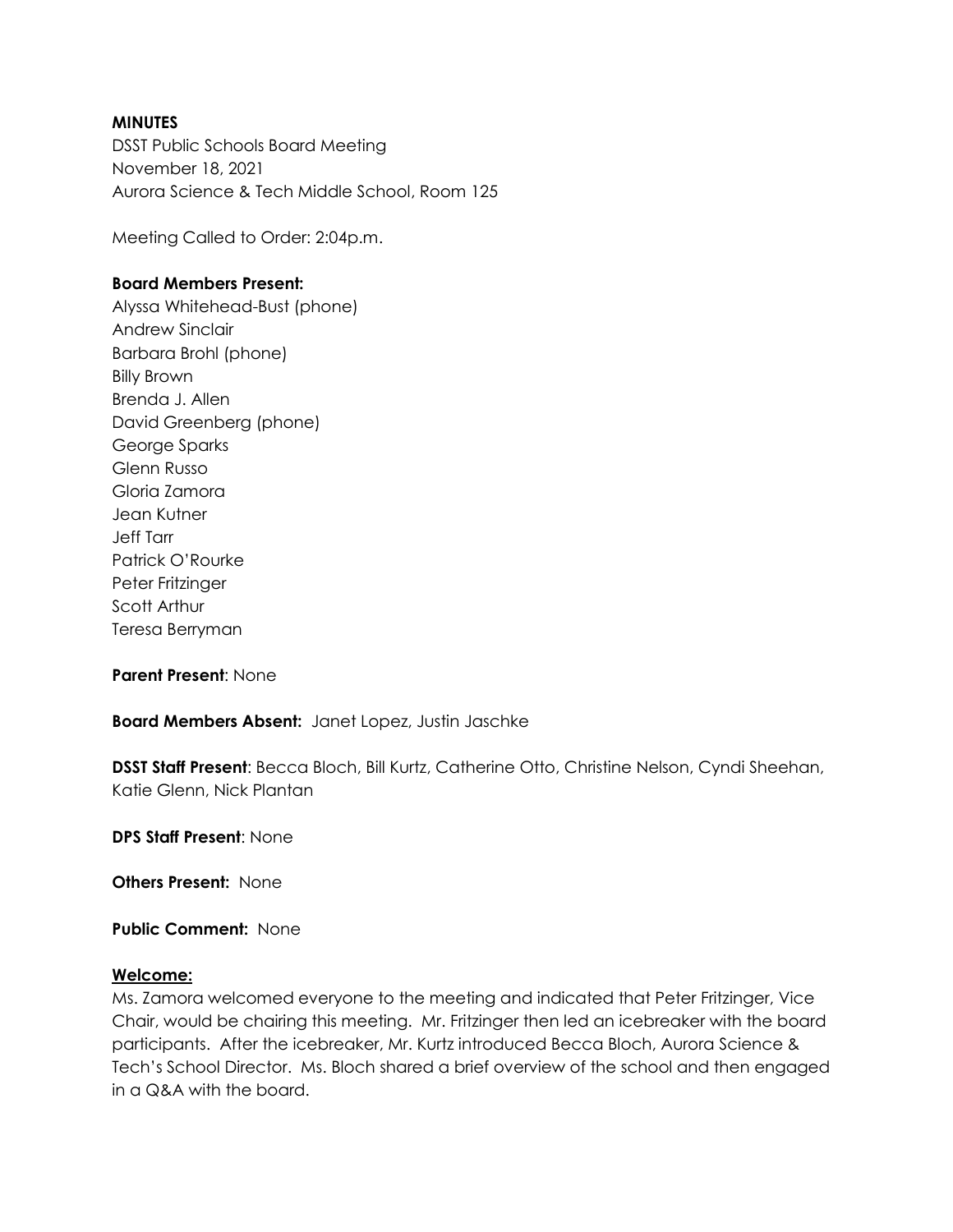### **MINUTES**

DSST Public Schools Board Meeting November 18, 2021 Aurora Science & Tech Middle School, Room 125

Meeting Called to Order: 2:04p.m.

### **Board Members Present:**

Alyssa Whitehead-Bust (phone) Andrew Sinclair Barbara Brohl (phone) Billy Brown Brenda J. Allen David Greenberg (phone) George Sparks Glenn Russo Gloria Zamora Jean Kutner Jeff Tarr Patrick O'Rourke Peter Fritzinger Scott Arthur Teresa Berryman

**Parent Present**: None

**Board Members Absent:** Janet Lopez, Justin Jaschke

**DSST Staff Present**: Becca Bloch, Bill Kurtz, Catherine Otto, Christine Nelson, Cyndi Sheehan, Katie Glenn, Nick Plantan

**DPS Staff Present**: None

**Others Present:** None

**Public Comment:** None

### **Welcome:**

Ms. Zamora welcomed everyone to the meeting and indicated that Peter Fritzinger, Vice Chair, would be chairing this meeting. Mr. Fritzinger then led an icebreaker with the board participants. After the icebreaker, Mr. Kurtz introduced Becca Bloch, Aurora Science & Tech's School Director. Ms. Bloch shared a brief overview of the school and then engaged in a Q&A with the board.